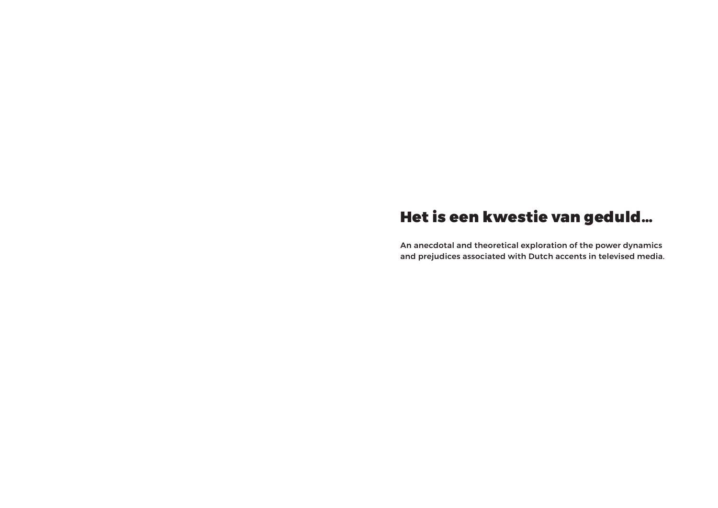# Het is een kwestie van geduld…

An anecdotal and theoretical exploration of the power dynamics and prejudices associated with Dutch accents in televised media.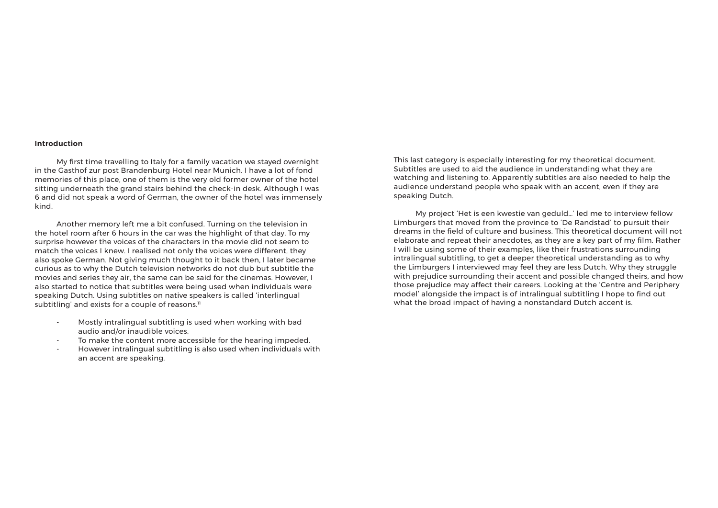### **Introduction**

 Another memory left me a bit confused. Turning on the television in the hotel room after 6 hours in the car was the highlight of that day. To my surprise however the voices of the characters in the movie did not seem to match the voices I knew. I realised not only the voices were different, they also spoke German. Not giving much thought to it back then, I later became curious as to why the Dutch television networks do not dub but subtitle the movies and series they air, the same can be said for the cinemas. However, I also started to notice that subtitles were being used when individuals were speaking Dutch. Using subtitles on native speakers is called 'interlingual subtitling' and exists for a couple of reasons.<sup>11</sup>

 My first time travelling to Italy for a family vacation we stayed overnight in the Gasthof zur post Brandenburg Hotel near Munich. I have a lot of fond memories of this place, one of them is the very old former owner of the hotel sitting underneath the grand stairs behind the check-in desk. Although I was 6 and did not speak a word of German, the owner of the hotel was immensely kind.

- Mostly intralingual subtitling is used when working with bad audio and/or inaudible voices.
- To make the content more accessible for the hearing impeded.
- However intralingual subtitling is also used when individuals with an accent are speaking.

This last category is especially interesting for my theoretical document. Subtitles are used to aid the audience in understanding what they are watching and listening to. Apparently subtitles are also needed to help the audience understand people who speak with an accent, even if they are speaking Dutch.

 My project 'Het is een kwestie van geduld…' led me to interview fellow Limburgers that moved from the province to 'De Randstad' to pursuit their dreams in the field of culture and business. This theoretical document will not elaborate and repeat their anecdotes, as they are a key part of my film. Rather I will be using some of their examples, like their frustrations surrounding intralingual subtitling, to get a deeper theoretical understanding as to why the Limburgers I interviewed may feel they are less Dutch. Why they struggle with prejudice surrounding their accent and possible changed theirs, and how those prejudice may affect their careers. Looking at the 'Centre and Periphery model' alongside the impact is of intralingual subtitling I hope to find out what the broad impact of having a nonstandard Dutch accent is.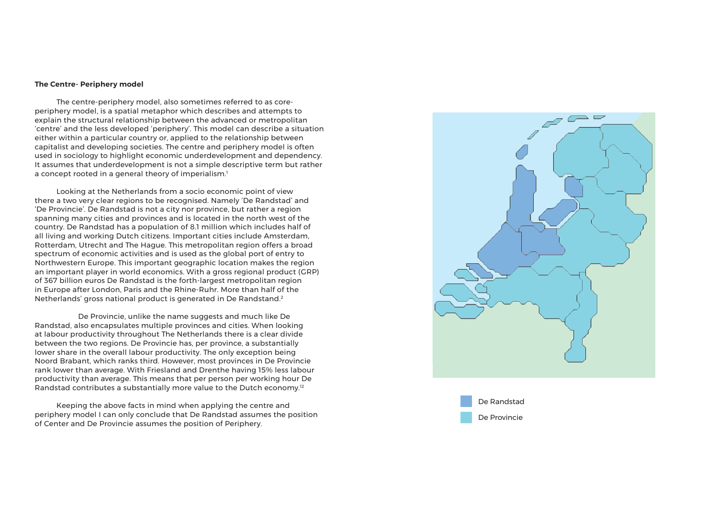### **The Centre- Periphery model**

 The centre-periphery model, also sometimes referred to as coreperiphery model, is a spatial metaphor which describes and attempts to explain the structural relationship between the advanced or metropolitan 'centre' and the less developed 'periphery'. This model can describe a situation either within a particular country or, applied to the relationship between capitalist and developing societies. The centre and periphery model is often used in sociology to highlight economic underdevelopment and dependency. It assumes that underdevelopment is not a simple descriptive term but rather a concept rooted in a general theory of imperialism. $^{\rm !}$ 

 De Provincie, unlike the name suggests and much like De Randstad, also encapsulates multiple provinces and cities. When looking at labour productivity throughout The Netherlands there is a clear divide between the two regions. De Provincie has, per province, a substantially lower share in the overall labour productivity. The only exception being Noord Brabant, which ranks third. However, most provinces in De Provincie rank lower than average. With Friesland and Drenthe having 15% less labour productivity than average. This means that per person per working hour De Randstad contributes a substantially more value to the Dutch economy. $^{12}$ 

 Looking at the Netherlands from a socio economic point of view there a two very clear regions to be recognised. Namely 'De Randstad' and 'De Provincie'. De Randstad is not a city nor province, but rather a region spanning many cities and provinces and is located in the north west of the country. De Randstad has a population of 8.1 million which includes half of all living and working Dutch citizens. Important cities include Amsterdam, Rotterdam, Utrecht and The Hague. This metropolitan region offers a broad spectrum of economic activities and is used as the global port of entry to Northwestern Europe. This important geographic location makes the region an important player in world economics. With a gross regional product (GRP) of 367 billion euros De Randstad is the forth-largest metropolitan region in Europe after London, Paris and the Rhine-Ruhr. More than half of the Netherlands' gross national product is generated in De Randstand. 2

 Keeping the above facts in mind when applying the centre and periphery model I can only conclude that De Randstad assumes the position of Center and De Provincie assumes the position of Periphery.



De Randstad De Provincie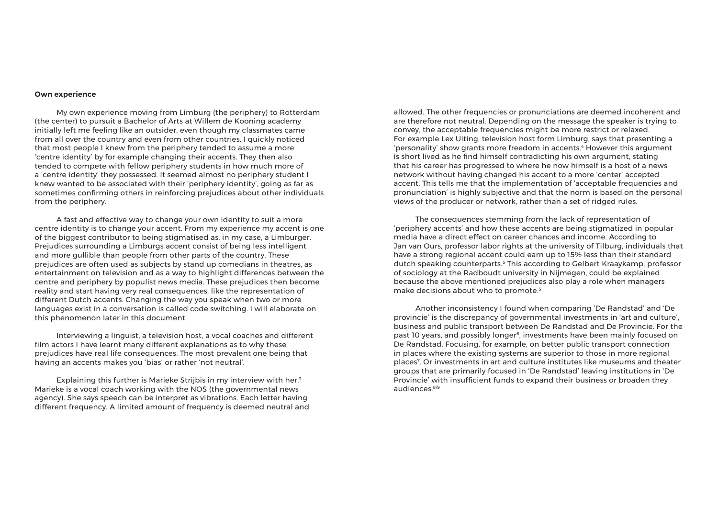#### **Own experience**

 My own experience moving from Limburg (the periphery) to Rotterdam (the center) to pursuit a Bachelor of Arts at Willem de Kooning academy initially left me feeling like an outsider, even though my classmates came from all over the country and even from other countries. I quickly noticed that most people I knew from the periphery tended to assume a more 'centre identity' by for example changing their accents. They then also tended to compete with fellow periphery students in how much more of a 'centre identity' they possessed. It seemed almost no periphery student I knew wanted to be associated with their 'periphery identity', going as far as sometimes confirming others in reinforcing prejudices about other individuals from the periphery.

Explaining this further is Marieke Strijbis in my interview with her.<sup>3</sup> Marieke is a vocal coach working with the NOS (the governmental news agency). She says speech can be interpret as vibrations. Each letter having different frequency. A limited amount of frequency is deemed neutral and

 A fast and effective way to change your own identity to suit a more centre identity is to change your accent. From my experience my accent is one of the biggest contributor to being stigmatised as, in my case, a Limburger. Prejudices surrounding a Limburgs accent consist of being less intelligent and more gullible than people from other parts of the country. These prejudices are often used as subjects by stand up comedians in theatres, as entertainment on television and as a way to highlight differences between the centre and periphery by populist news media. These prejudices then become reality and start having very real consequences, like the representation of different Dutch accents. Changing the way you speak when two or more languages exist in a conversation is called code switching. I will elaborate on this phenomenon later in this document.

 The consequences stemming from the lack of representation of 'periphery accents' and how these accents are being stigmatized in popular media have a direct effect on career chances and income. According to Jan van Ours, professor labor rights at the university of Tilburg, individuals that have a strong regional accent could earn up to 15% less than their standard dutch speaking counterparts.5 This according to Gelbert Kraaykamp, professor of sociology at the Radboudt university in Nijmegen, could be explained because the above mentioned prejudices also play a role when managers make decisions about who to promote.<sup>5</sup>

 Interviewing a linguist, a television host, a vocal coaches and different film actors I have learnt many different explanations as to why these prejudices have real life consequences. The most prevalent one being that having an accents makes you 'bias' or rather 'not neutral'.

allowed. The other frequencies or pronunciations are deemed incoherent and are therefore not neutral. Depending on the message the speaker is trying to convey, the acceptable frequencies might be more restrict or relaxed. For example Lex Uiting, television host form Limburg, says that presenting a 'personality' show grants more freedom in accents.<sup>4</sup> However this argument is short lived as he find himself contradicting his own argument, stating that his career has progressed to where he now himself is a host of a news network without having changed his accent to a more 'center' accepted accent. This tells me that the implementation of 'acceptable frequencies and pronunciation' is highly subjective and that the norm is based on the personal views of the producer or network, rather than a set of ridged rules.

 Another inconsistency I found when comparing 'De Randstad' and 'De provincie' is the discrepancy of governmental investments in 'art and culture', business and public transport between De Randstad and De Provincie. For the past 10 years, and possibly longer<sup>6</sup>, investments have been mainly focused on De Randstad. Focusing, for example, on better public transport connection in places where the existing systems are superior to those in more regional places7 . Or investments in art and culture institutes like museums and theater groups that are primarily focused in 'De Randstad' leaving institutions in 'De Provincie' with insufficient funds to expand their business or broaden they audiences.8/9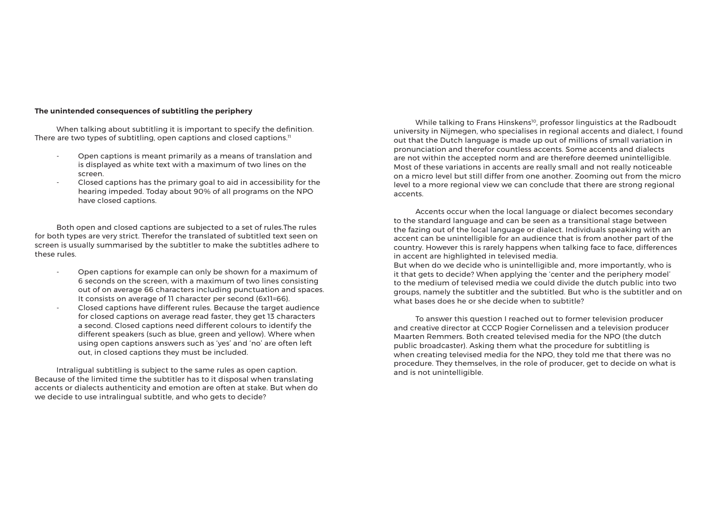# **The unintended consequences of subtitling the periphery**

 When talking about subtitling it is important to specify the definition. There are two types of subtitling, open captions and closed captions.<sup>11</sup>

- Open captions is meant primarily as a means of translation and is displayed as white text with a maximum of two lines on the screen.
- Closed captions has the primary goal to aid in accessibility for the hearing impeded. Today about 90% of all programs on the NPO have closed captions.

 Both open and closed captions are subjected to a set of rules.The rules for both types are very strict. Therefor the translated of subtitled text seen on screen is usually summarised by the subtitler to make the subtitles adhere to these rules.

- Open captions for example can only be shown for a maximum of 6 seconds on the screen, with a maximum of two lines consisting out of on average 66 characters including punctuation and spaces. It consists on average of 11 character per second (6x11=66).
- Closed captions have different rules. Because the target audience for closed captions on average read faster, they get 13 characters a second. Closed captions need different colours to identify the different speakers (such as blue, green and yellow). Where when using open captions answers such as 'yes' and 'no' are often left out, in closed captions they must be included.

While talking to Frans Hinskens<sup>10</sup>, professor linguistics at the Radboudt university in Nijmegen, who specialises in regional accents and dialect, I found out that the Dutch language is made up out of millions of small variation in pronunciation and therefor countless accents. Some accents and dialects are not within the accepted norm and are therefore deemed unintelligible. Most of these variations in accents are really small and not really noticeable on a micro level but still differ from one another. Zooming out from the micro level to a more regional view we can conclude that there are strong regional accents.

 Intraligual subtitling is subject to the same rules as open caption. Because of the limited time the subtitler has to it disposal when translating accents or dialects authenticity and emotion are often at stake. But when do we decide to use intralingual subtitle, and who gets to decide?

 Accents occur when the local language or dialect becomes secondary to the standard language and can be seen as a transitional stage between the fazing out of the local language or dialect. Individuals speaking with an accent can be unintelligible for an audience that is from another part of the country. However this is rarely happens when talking face to face, differences in accent are highlighted in televised media. But when do we decide who is unintelligible and, more importantly, who is it that gets to decide? When applying the 'center and the periphery model' to the medium of televised media we could divide the dutch public into two groups, namely the subtitler and the subtitled. But who is the subtitler and on what bases does he or she decide when to subtitle?

 To answer this question I reached out to former television producer and creative director at CCCP Rogier Cornelissen and a television producer Maarten Remmers. Both created televised media for the NPO (the dutch public broadcaster). Asking them what the procedure for subtitling is when creating televised media for the NPO, they told me that there was no procedure. They themselves, in the role of producer, get to decide on what is and is not unintelligible.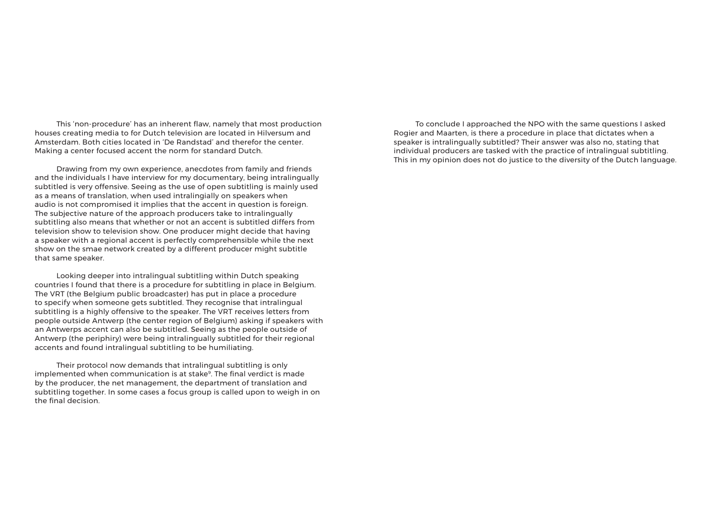This 'non-procedure' has an inherent flaw, namely that most production houses creating media to for Dutch television are located in Hilversum and Amsterdam. Both cities located in 'De Randstad' and therefor the center. Making a center focused accent the norm for standard Dutch.

 Drawing from my own experience, anecdotes from family and friends and the individuals I have interview for my documentary, being intralingually subtitled is very offensive. Seeing as the use of open subtitling is mainly used as a means of translation, when used intralingially on speakers when audio is not compromised it implies that the accent in question is foreign. The subjective nature of the approach producers take to intralingually subtitling also means that whether or not an accent is subtitled differs from television show to television show. One producer might decide that having a speaker with a regional accent is perfectly comprehensible while the next show on the smae network created by a different producer might subtitle that same speaker.

 Looking deeper into intralingual subtitling within Dutch speaking countries I found that there is a procedure for subtitling in place in Belgium. The VRT (the Belgium public broadcaster) has put in place a procedure to specify when someone gets subtitled. They recognise that intralingual subtitling is a highly offensive to the speaker. The VRT receives letters from people outside Antwerp (the center region of Belgium) asking if speakers with an Antwerps accent can also be subtitled. Seeing as the people outside of Antwerp (the periphiry) were being intralingually subtitled for their regional accents and found intralingual subtitling to be humiliating.

 Their protocol now demands that intralingual subtitling is only implemented when communication is at stake<sup>9</sup>. The final verdict is made by the producer, the net management, the department of translation and subtitling together. In some cases a focus group is called upon to weigh in on the final decision.

 To conclude I approached the NPO with the same questions I asked Rogier and Maarten, is there a procedure in place that dictates when a speaker is intralingually subtitled? Their answer was also no, stating that individual producers are tasked with the practice of intralingual subtitling. This in my opinion does not do justice to the diversity of the Dutch language.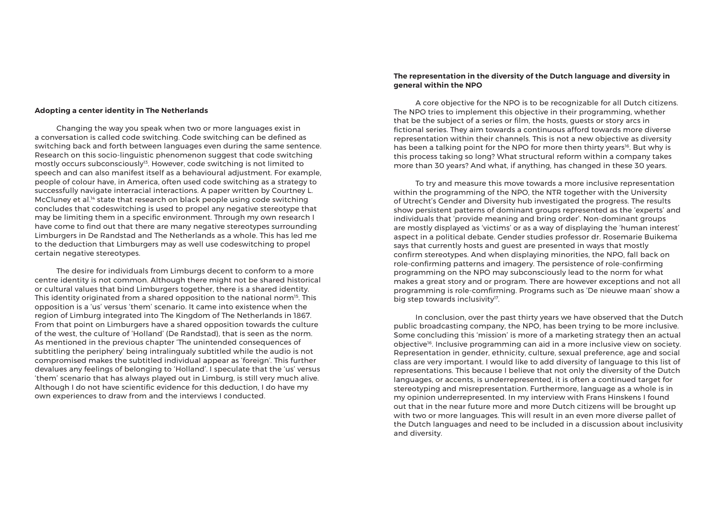## **Adopting a center identity in The Netherlands**

 Changing the way you speak when two or more languages exist in a conversation is called code switching. Code switching can be defined as switching back and forth between languages even during the same sentence. Research on this socio-linguistic phenomenon suggest that code switching mostly occurs subconsciously<sup>13</sup>. However, code switching is not limited to speech and can also manifest itself as a behavioural adjustment. For example, people of colour have, in America, often used code switching as a strategy to successfully navigate interracial interactions. A paper written by Courtney L. McCluney et al.<sup>14</sup> state that research on black people using code switching concludes that codeswitching is used to propel any negative stereotype that may be limiting them in a specific environment. Through my own research I have come to find out that there are many negative stereotypes surrounding Limburgers in De Randstad and The Netherlands as a whole. This has led me to the deduction that Limburgers may as well use codeswitching to propel certain negative stereotypes.

 To try and measure this move towards a more inclusive representation within the programming of the NPO, the NTR together with the University of Utrecht's Gender and Diversity hub investigated the progress. The results show persistent patterns of dominant groups represented as the 'experts' and individuals that 'provide meaning and bring order'. Non-dominant groups are mostly displayed as 'victims' or as a way of displaying the 'human interest' aspect in a political debate. Gender studies professor dr. Rosemarie Buikema says that currently hosts and guest are presented in ways that mostly confirm stereotypes. And when displaying minorities, the NPO, fall back on role-confirming patterns and imagery. The persistence of role-confirming programming on the NPO may subconsciously lead to the norm for what makes a great story and or program. There are however exceptions and not all programming is role-comfirming. Programs such as 'De nieuwe maan' show a big step towards inclusivity $17$ .

 The desire for individuals from Limburgs decent to conform to a more centre identity is not common. Although there might not be shared historical or cultural values that bind Limburgers together, there is a shared identity. This identity originated from a shared opposition to the national norm<sup>15</sup>. This opposition is a 'us' versus 'them' scenario. It came into existence when the region of Limburg integrated into The Kingdom of The Netherlands in 1867. From that point on Limburgers have a shared opposition towards the culture of the west, the culture of 'Holland' (De Randstad), that is seen as the norm. As mentioned in the previous chapter 'The unintended consequences of subtitling the periphery' being intralingualy subtitled while the audio is not compromised makes the subtitled individual appear as 'foreign'. This further devalues any feelings of belonging to 'Holland'. I speculate that the 'us' versus 'them' scenario that has always played out in Limburg, is still very much alive. Although I do not have scientific evidence for this deduction, I do have my own experiences to draw from and the interviews I conducted.

# **The representation in the diversity of the Dutch language and diversity in general within the NPO**

A core objective for the NPO is to be recognizable for all Dutch citizens. The NPO tries to implement this objective in their programming, whether that be the subject of a series or film, the hosts, guests or story arcs in fictional series. They aim towards a continuous afford towards more diverse representation within their channels. This is not a new objective as diversity has been a talking point for the NPO for more then thirty years<sup>16</sup>. But why is this process taking so long? What structural reform within a company takes more than 30 years? And what, if anything, has changed in these 30 years.

 In conclusion, over the past thirty years we have observed that the Dutch public broadcasting company, the NPO, has been trying to be more inclusive. Some concluding this 'mission' is more of a marketing strategy then an actual objective<sup>16</sup>. Inclusive programming can aid in a more inclusive view on society. Representation in gender, ethnicity, culture, sexual preference, age and social class are very important. I would like to add diversity of language to this list of representations. This because I believe that not only the diversity of the Dutch languages, or accents, is underrepresented, it is often a continued target for stereotyping and misrepresentation. Furthermore, language as a whole is in my opinion underrepresented. In my interview with Frans Hinskens I found out that in the near future more and more Dutch citizens will be brought up with two or more languages. This will result in an even more diverse pallet of the Dutch languages and need to be included in a discussion about inclusivity and diversity.